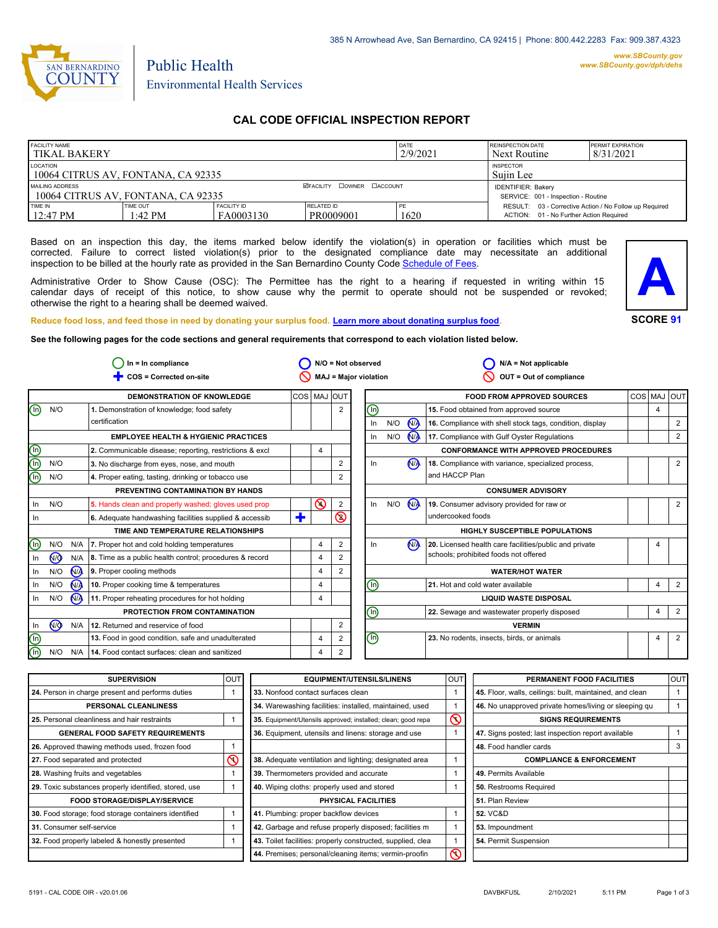

Public Health Environmental Health Services

## **CAL CODE OFFICIAL INSPECTION REPORT**

| <b>FACILITY NAME</b><br><b>TIKAL BAKERY</b>           |                               |                                  |                                                                  | I DATE<br>2/9/2021 | <b>REINSPECTION DATE</b><br>Next Routine                                                          | <b>PERMIT EXPIRATION</b><br>8/31/2021 |
|-------------------------------------------------------|-------------------------------|----------------------------------|------------------------------------------------------------------|--------------------|---------------------------------------------------------------------------------------------------|---------------------------------------|
| LOCATION<br>10064 CITRUS AV, FONTANA, CA 92335        |                               |                                  | <b>INSPECTOR</b><br>Suiin Lee                                    |                    |                                                                                                   |                                       |
| MAILING ADDRESS<br>10064 CITRUS AV. FONTANA. CA 92335 |                               | <b>ØFACILITY COWNER CACCOUNT</b> | <b>IDENTIFIER: Bakery</b><br>SERVICE: 001 - Inspection - Routine |                    |                                                                                                   |                                       |
| <b>TIME IN</b><br>$12:47 \text{ PM}$                  | TIME OUT<br>$1:42 \text{ PM}$ | <b>FACILITY ID</b><br>FA0003130  | RELATED ID<br>PR0009001                                          | PE<br>1620         | RESULT: 03 - Corrective Action / No Follow up Required<br>ACTION: 01 - No Further Action Required |                                       |

Based on an inspection this day, the items marked below identify the violation(s) in operation or facilities which must be corrected. Failure to correct listed violation(s) prior to the designated compliance date may necessitate an additional inspection to be billed at the hourly rate as provided in the San Bernardino County Co[de Schedule of Fees.](http://www.amlegal.com/nxt/gateway.dll/California/sanbernardinocounty_ca/title1governmentandadministration/division6countyfees/chapter2scheduleoffees?f=templates$fn=default.htm$3.0$vid=amlegal:sanbernardinocounty_ca$anc=JD_16.0213B)

Administrative Order to Show Cause (OSC): The Permittee has the right to a hearing if requested in writing within 15 calendar days of receipt of this notice, to show cause why the permit to operate should not be suspended or revoked; otherwise the right to a hearing shall be deemed waived.



#### **Reduce food loss, and feed those in need by donating your surplus f[ood. Learn more about donating surplus food.](http://wp.sbcounty.gov/dph/programs/ehs/food-facilities/)**

**See the following pages for the code sections and general requirements that correspond to each violation listed below.**

| $In = In$ compliance           |                                   |                      | $N/O = Not observed$                                    |             | $N/A = Not applicable$       |                          |                                             |                              |                      |                                                          |     |                |                |
|--------------------------------|-----------------------------------|----------------------|---------------------------------------------------------|-------------|------------------------------|--------------------------|---------------------------------------------|------------------------------|----------------------|----------------------------------------------------------|-----|----------------|----------------|
|                                | COS = Corrected on-site           |                      |                                                         |             | <b>MAJ = Major violation</b> |                          | OUT = Out of compliance                     |                              |                      |                                                          |     |                |                |
|                                |                                   |                      | <b>DEMONSTRATION OF KNOWLEDGE</b>                       | COS MAJ OUT |                              |                          |                                             |                              |                      | <b>FOOD FROM APPROVED SOURCES</b>                        | COS | MAJ            | loutl          |
| $\textcircled{\scriptsize{1}}$ | N/O                               |                      | 1. Demonstration of knowledge; food safety              |             |                              | $\overline{2}$           | ℗                                           |                              |                      | 15. Food obtained from approved source                   |     | $\overline{4}$ |                |
|                                |                                   |                      | certification                                           |             |                              |                          | In                                          | N/O                          | <b>NA</b>            | 16. Compliance with shell stock tags, condition, display |     |                | 2              |
|                                |                                   |                      | <b>EMPLOYEE HEALTH &amp; HYGIENIC PRACTICES</b>         |             |                              |                          | $\ln$                                       | N/O                          | $\mathbf{M}$         | 17. Compliance with Gulf Oyster Regulations              |     |                | 2              |
| ee                             |                                   |                      | 2. Communicable disease; reporting, restrictions & excl |             | $\overline{4}$               |                          |                                             |                              |                      | <b>CONFORMANCE WITH APPROVED PROCEDURES</b>              |     |                |                |
|                                | N/O                               |                      | 3. No discharge from eyes, nose, and mouth              |             |                              | 2                        | In                                          |                              | <b>N<sub>A</sub></b> | 18. Compliance with variance, specialized process,       |     |                | 2              |
|                                | N/O                               |                      | 4. Proper eating, tasting, drinking or tobacco use      |             |                              | 2                        |                                             |                              |                      | and HACCP Plan                                           |     |                |                |
|                                | PREVENTING CONTAMINATION BY HANDS |                      |                                                         |             |                              | <b>CONSUMER ADVISORY</b> |                                             |                              |                      |                                                          |     |                |                |
| In                             | N/O                               |                      | 5. Hands clean and properly washed; gloves used prop    |             | ര                            | 2                        | ln                                          | N/O                          | N                    | 19. Consumer advisory provided for raw or                |     |                | 2              |
| In                             |                                   |                      | 6. Adequate handwashing facilities supplied & accessib  | ٠           |                              | $\circledcirc$           |                                             |                              |                      | undercooked foods                                        |     |                |                |
|                                |                                   |                      | TIME AND TEMPERATURE RELATIONSHIPS                      |             |                              |                          |                                             |                              |                      | <b>HIGHLY SUSCEPTIBLE POPULATIONS</b>                    |     |                |                |
| ⓪                              | N/O                               | N/A                  | 7. Proper hot and cold holding temperatures             |             | 4                            | 2                        | In                                          |                              | N <sub>A</sub>       | 20. Licensed health care facilities/public and private   |     | 4              |                |
| In                             | (ਔ                                | N/A                  | 8. Time as a public health control; procedures & record |             | $\overline{4}$               | 2                        |                                             |                              |                      | schools; prohibited foods not offered                    |     |                |                |
| In                             | N/O                               | <b>N<sub>A</sub></b> | 9. Proper cooling methods                               |             | $\overline{4}$               | $\overline{2}$           |                                             | <b>WATER/HOT WATER</b>       |                      |                                                          |     |                |                |
| In                             | N/O                               | N <sub>A</sub>       | 10. Proper cooking time & temperatures                  |             | $\overline{4}$               |                          | ⓪                                           |                              |                      | 21. Hot and cold water available                         |     | 4              | 2              |
| In                             | N/O                               | N/A                  | 11. Proper reheating procedures for hot holding         |             | 4                            |                          |                                             | <b>LIQUID WASTE DISPOSAL</b> |                      |                                                          |     |                |                |
|                                | PROTECTION FROM CONTAMINATION     |                      |                                                         | ⊚           |                              |                          | 22. Sewage and wastewater properly disposed |                              | 4                    | $\overline{2}$                                           |     |                |                |
| In                             | (ਔ                                | N/A                  | 12. Returned and reservice of food                      |             |                              | 2                        |                                             |                              |                      | <b>VERMIN</b>                                            |     |                |                |
| $\circledcirc$                 |                                   |                      | 13. Food in good condition, safe and unadulterated      |             | $\overline{4}$               | 2                        | $\textcircled{\scriptsize{1}}$              |                              |                      | 23. No rodents, insects, birds, or animals               |     | 4              | $\overline{2}$ |
| $\overline{\mathbb{O}}$        | N/O                               | N/A                  | 14. Food contact surfaces: clean and sanitized          |             | $\overline{4}$               | 2                        |                                             |                              |                      |                                                          |     |                |                |

| <b>SUPERVISION</b>                                    | <b>OUT</b> | <b>EQUIPMENT/UTENSILS/LINENS</b>                             | OUT                   | PERMANENT FOOD FACILITIES                                | <b>OUT</b> |  |
|-------------------------------------------------------|------------|--------------------------------------------------------------|-----------------------|----------------------------------------------------------|------------|--|
| 24. Person in charge present and performs duties      |            | 33. Nonfood contact surfaces clean                           |                       | 45. Floor, walls, ceilings: built, maintained, and clean |            |  |
| PERSONAL CLEANLINESS                                  |            | 34. Warewashing facilities: installed, maintained, used      |                       | 46. No unapproved private homes/living or sleeping qu    |            |  |
| 25. Personal cleanliness and hair restraints          |            | 35. Equipment/Utensils approved; installed; clean; good repa | $\mathop{\mathsf{O}}$ | <b>SIGNS REQUIREMENTS</b>                                |            |  |
| <b>GENERAL FOOD SAFETY REQUIREMENTS</b>               |            | 36. Equipment, utensils and linens: storage and use          |                       | 47. Signs posted; last inspection report available       |            |  |
| 26. Approved thawing methods used, frozen food        |            |                                                              |                       | 48. Food handler cards                                   | 3          |  |
| 27. Food separated and protected                      | ⋒          | 38. Adequate ventilation and lighting; designated area       |                       | <b>COMPLIANCE &amp; ENFORCEMENT</b>                      |            |  |
| 28. Washing fruits and vegetables                     |            | 39. Thermometers provided and accurate                       |                       | 49. Permits Available                                    |            |  |
| 29. Toxic substances properly identified, stored, use |            | 40. Wiping cloths: properly used and stored                  |                       | 50. Restrooms Required                                   |            |  |
| <b>FOOD STORAGE/DISPLAY/SERVICE</b>                   |            | <b>PHYSICAL FACILITIES</b>                                   |                       | 51. Plan Review                                          |            |  |
| 30. Food storage; food storage containers identified  |            | 41. Plumbing: proper backflow devices                        |                       | <b>52. VC&amp;D</b>                                      |            |  |
| 31. Consumer self-service                             |            | 42. Garbage and refuse properly disposed; facilities m       |                       | 53. Impoundment                                          |            |  |
| 32. Food properly labeled & honestly presented        |            | 43. Toilet facilities: properly constructed, supplied, clea  |                       | 54. Permit Suspension                                    |            |  |
|                                                       |            | 44. Premises; personal/cleaning items; vermin-proofin        | $\infty$              |                                                          |            |  |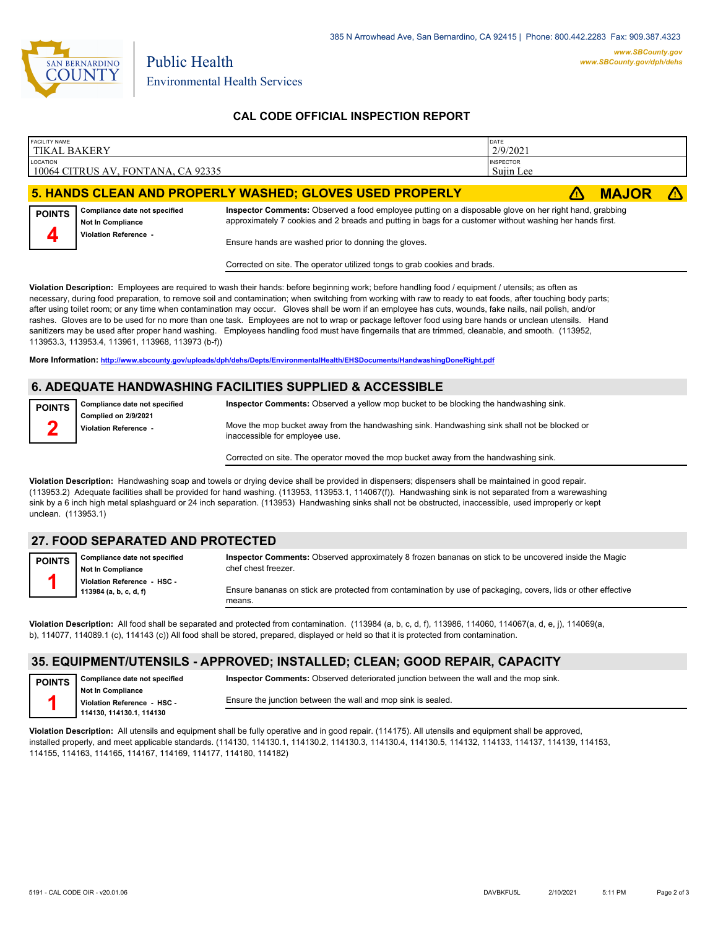

# **CAL CODE OFFICIAL INSPECTION REPORT**

| <b>FACILITY NAME</b><br><b>TIKAL BAKERY</b> |                                                           |                                                                                                                                                                                                                    | DATE<br>2/9/2021              |              |  |  |
|---------------------------------------------|-----------------------------------------------------------|--------------------------------------------------------------------------------------------------------------------------------------------------------------------------------------------------------------------|-------------------------------|--------------|--|--|
| LOCATION                                    | 10064 CITRUS AV, FONTANA, CA 92335                        |                                                                                                                                                                                                                    | <b>INSPECTOR</b><br>Sujin Lee |              |  |  |
|                                             |                                                           | 5. HANDS CLEAN AND PROPERLY WASHED; GLOVES USED PROPERLY                                                                                                                                                           |                               | <b>MAJOR</b> |  |  |
| <b>POINTS</b>                               | Compliance date not specified<br><b>Not In Compliance</b> | Inspector Comments: Observed a food employee putting on a disposable glove on her right hand, grabbing<br>approximately 7 cookies and 2 breads and putting in bags for a customer without washing her hands first. |                               |              |  |  |
|                                             | Violation Reference -                                     | Ensure hands are washed prior to donning the gloves.                                                                                                                                                               |                               |              |  |  |

Corrected on site. The operator utilized tongs to grab cookies and brads.

**Violation Description:** Employees are required to wash their hands: before beginning work; before handling food / equipment / utensils; as often as necessary, during food preparation, to remove soil and contamination; when switching from working with raw to ready to eat foods, after touching body parts; after using toilet room; or any time when contamination may occur. Gloves shall be worn if an employee has cuts, wounds, fake nails, nail polish, and/or rashes. Gloves are to be used for no more than one task. Employees are not to wrap or package leftover food using bare hands or unclean utensils. Hand sanitizers may be used after proper hand washing. Employees handling food must have fingernails that are trimmed, cleanable, and smooth. (113952, 113953.3, 113953.4, 113961, 113968, 113973 (b-f))

**More Information: <http://www.sbcounty.gov/uploads/dph/dehs/Depts/EnvironmentalHealth/EHSDocuments/HandwashingDoneRight.pdf>**

# **6. ADEQUATE HANDWASHING FACILITIES SUPPLIED & ACCESSIBLE**

**Compliance date not specified Complied on 2/9/2021 Violation Reference - POINTS 2 Inspector Comments:** Observed a yellow mop bucket to be blocking the handwashing sink. Move the mop bucket away from the handwashing sink. Handwashing sink shall not be blocked or inaccessible for employee use.

Corrected on site. The operator moved the mop bucket away from the handwashing sink.

**Violation Description:** Handwashing soap and towels or drying device shall be provided in dispensers; dispensers shall be maintained in good repair. (113953.2) Adequate facilities shall be provided for hand washing. (113953, 113953.1, 114067(f)). Handwashing sink is not separated from a warewashing sink by a 6 inch high metal splashguard or 24 inch separation. (113953) Handwashing sinks shall not be obstructed, inaccessible, used improperly or kept unclean. (113953.1)

## **27. FOOD SEPARATED AND PROTECTED**

**Compliance date not specified Not In Compliance Violation Reference - HSC - 113984 (a, b, c, d, f) POINTS 1**

> **Compliance date not specified Not In Compliance Violation Reference - HSC - 114130, 114130.1, 114130**

**Inspector Comments:** Observed approximately 8 frozen bananas on stick to be uncovered inside the Magic chef chest freezer.

Ensure bananas on stick are protected from contamination by use of packaging, covers, lids or other effective means.

**Violation Description:** All food shall be separated and protected from contamination. (113984 (a, b, c, d, f), 113986, 114060, 114067(a, d, e, j), 114069(a, b), 114077, 114089.1 (c), 114143 (c)) All food shall be stored, prepared, displayed or held so that it is protected from contamination.

### **35. EQUIPMENT/UTENSILS - APPROVED; INSTALLED; CLEAN; GOOD REPAIR, CAPACITY**

**POINTS 1**

**Inspector Comments:** Observed deteriorated junction between the wall and the mop sink.

Ensure the junction between the wall and mop sink is sealed.

**Violation Description:** All utensils and equipment shall be fully operative and in good repair. (114175). All utensils and equipment shall be approved, installed properly, and meet applicable standards. (114130, 114130.1, 114130.2, 114130.3, 114130.4, 114130.5, 114132, 114133, 114137, 114139, 114153, 114155, 114163, 114165, 114167, 114169, 114177, 114180, 114182)